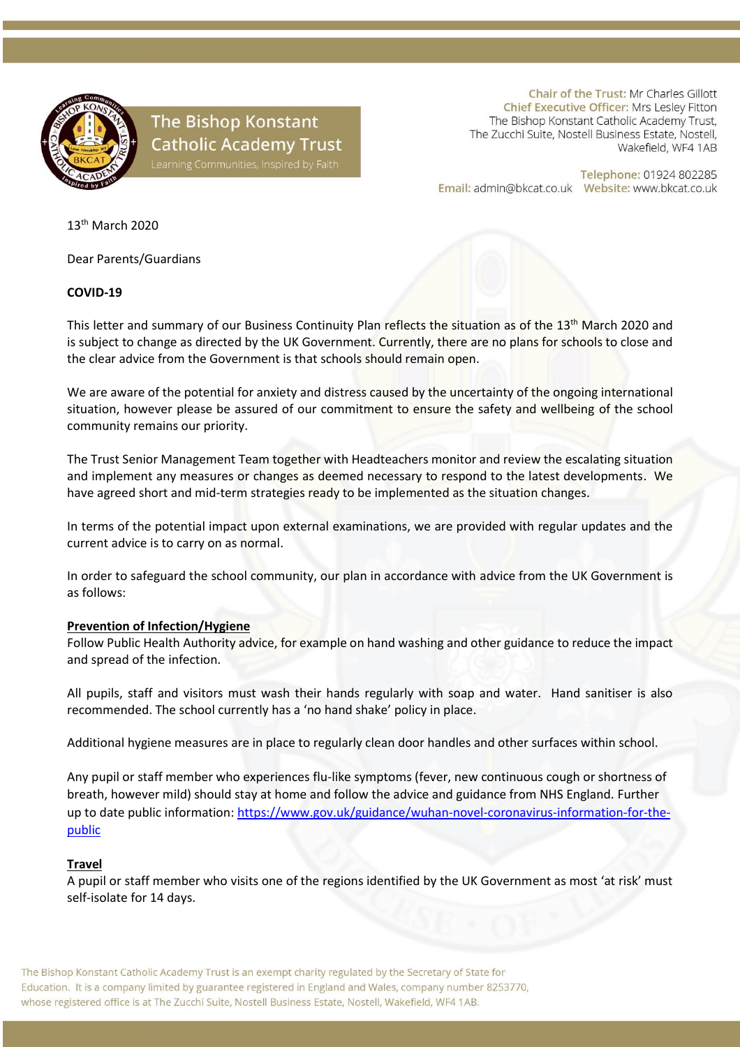

# **The Bishop Konstant Catholic Academy Trust**

Chair of the Trust: Mr Charles Gillott Chief Executive Officer: Mrs Lesley Fitton The Bishop Konstant Catholic Academy Trust, The Zucchi Suite, Nostell Business Estate, Nostell, Wakefield, WF4 1AB

Telephone: 01924 802285 

13th March 2020

Dear Parents/Guardians

# **COVID-19**

This letter and summary of our Business Continuity Plan reflects the situation as of the 13<sup>th</sup> March 2020 and is subject to change as directed by the UK Government. Currently, there are no plans for schools to close and the clear advice from the Government is that schools should remain open.

We are aware of the potential for anxiety and distress caused by the uncertainty of the ongoing international situation, however please be assured of our commitment to ensure the safety and wellbeing of the school community remains our priority.

The Trust Senior Management Team together with Headteachers monitor and review the escalating situation and implement any measures or changes as deemed necessary to respond to the latest developments. We have agreed short and mid-term strategies ready to be implemented as the situation changes.

In terms of the potential impact upon external examinations, we are provided with regular updates and the current advice is to carry on as normal.

In order to safeguard the school community, our plan in accordance with advice from the UK Government is as follows:

### **Prevention of Infection/Hygiene**

Follow Public Health Authority advice, for example on hand washing and other guidance to reduce the impact and spread of the infection.

All pupils, staff and visitors must wash their hands regularly with soap and water. Hand sanitiser is also recommended. The school currently has a 'no hand shake' policy in place.

Additional hygiene measures are in place to regularly clean door handles and other surfaces within school.

Any pupil or staff member who experiences flu-like symptoms (fever, new continuous cough or shortness of breath, however mild) should stay at home and follow the advice and guidance from NHS England. Further up to date public information: [https://www.gov.uk/guidance/wuhan-novel-coronavirus-information-for-the](https://www.gov.uk/guidance/wuhan-novel-coronavirus-information-for-the-public)[public](https://www.gov.uk/guidance/wuhan-novel-coronavirus-information-for-the-public)

### **Travel**

A pupil or staff member who visits one of the regions identified by the UK Government as most 'at risk' must self-isolate for 14 days.

The Bishop Konstant Catholic Academy Trust is an exempt charity regulated by the Secretary of State for Education. It is a company limited by guarantee registered in England and Wales, company number 8253770, whose registered office is at The Zucchi Suite, Nostell Business Estate, Nostell, Wakefield, WF4 1AB.